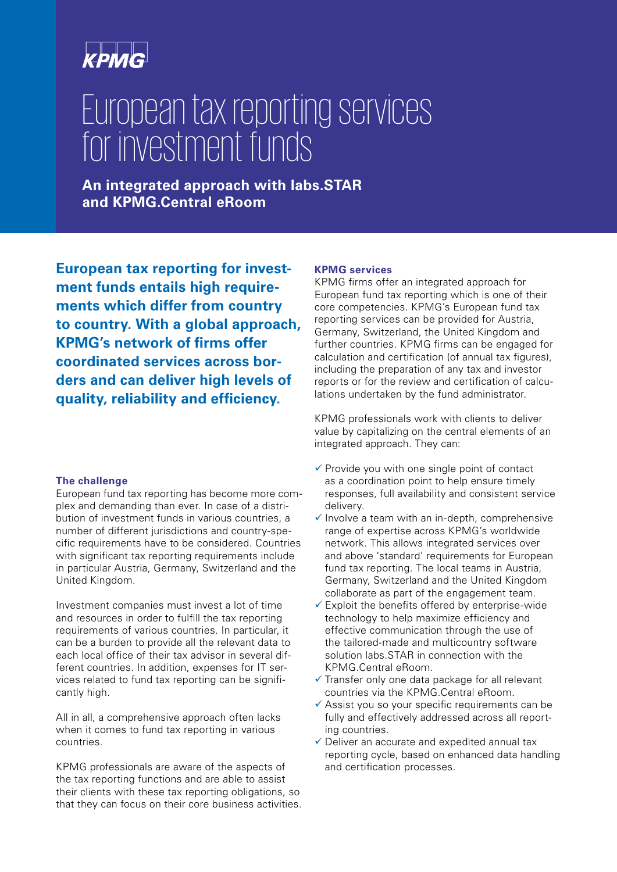# European tax reporting services for investment funds

**An integrated approach with labs.STAR and KPMG.Central eRoom**

**European tax reporting for investment funds entails high requirements which differ from country to country. With a global approach, KPMG's network of firms offer coordinated services across borders and can deliver high levels of quality, reliability and efficiency.**

# **The challenge**

European fund tax reporting has become more complex and demanding than ever. In case of a distribution of investment funds in various countries, a number of different jurisdictions and country-specific requirements have to be considered. Countries with significant tax reporting requirements include in particular Austria, Germany, Switzerland and the United Kingdom.

Investment companies must invest a lot of time and resources in order to fulfill the tax reporting requirements of various countries. In particular, it can be a burden to provide all the relevant data to each local office of their tax advisor in several different countries. In addition, expenses for IT services related to fund tax reporting can be significantly high.

All in all, a comprehensive approach often lacks when it comes to fund tax reporting in various countries.

KPMG professionals are aware of the aspects of the tax reporting functions and are able to assist their clients with these tax reporting obligations, so that they can focus on their core business activities.

# **KPMG services**

KPMG firms offer an integrated approach for European fund tax reporting which is one of their core competencies. KPMG's European fund tax reporting services can be provided for Austria, Germany, Switzerland, the United Kingdom and further countries. KPMG firms can be engaged for calculation and certification (of annual tax figures), including the preparation of any tax and investor reports or for the review and certification of calculations undertaken by the fund administrator.

KPMG professionals work with clients to deliver value by capitalizing on the central elements of an integrated approach. They can:

- $\checkmark$  Provide you with one single point of contact as a coordination point to help ensure timely responses, full availability and consistent service delivery.
- $\checkmark$  Involve a team with an in-depth, comprehensive range of expertise across KPMG's worldwide network. This allows integrated services over and above 'standard' requirements for European fund tax reporting. The local teams in Austria, Germany, Switzerland and the United Kingdom collaborate as part of the engagement team.
- $\checkmark$  Exploit the benefits offered by enterprise-wide technology to help maximize efficiency and effective communication through the use of the tailored-made and multicountry software solution labs.STAR in connection with the KPMG.Central eRoom.
- $\checkmark$  Transfer only one data package for all relevant countries via the KPMG.Central eRoom.
- $\checkmark$  Assist you so your specific requirements can be fully and effectively addressed across all reporting countries.
- $\checkmark$  Deliver an accurate and expedited annual tax reporting cycle, based on enhanced data handling and certification processes.